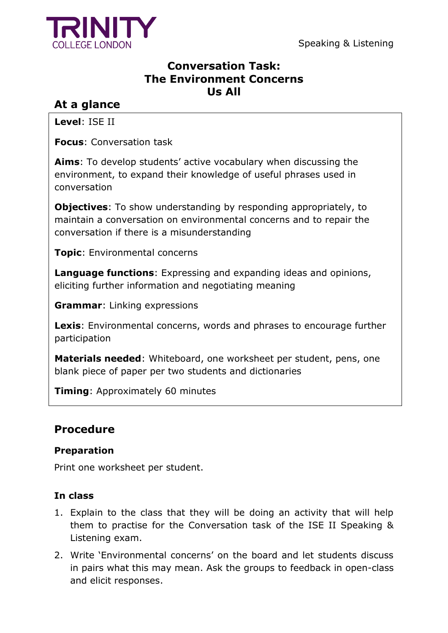

Speaking & Listening

## **Conversation Task: The Environment Concerns Us All**

## **At a glance**

**Level**: ISE II

**Focus**: Conversation task

**Aims**: To develop students' active vocabulary when discussing the environment, to expand their knowledge of useful phrases used in conversation

**Objectives**: To show understanding by responding appropriately, to maintain a conversation on environmental concerns and to repair the conversation if there is a misunderstanding

**Topic**: Environmental concerns

**Language functions**: Expressing and expanding ideas and opinions, eliciting further information and negotiating meaning

**Grammar**: Linking expressions

**Lexis**: Environmental concerns, words and phrases to encourage further participation

**Materials needed**: Whiteboard, one worksheet per student, pens, one blank piece of paper per two students and dictionaries

**Timing**: Approximately 60 minutes

## **Procedure**

### **Preparation**

Print one worksheet per student.

### **In class**

- 1. Explain to the class that they will be doing an activity that will help them to practise for the Conversation task of the ISE II Speaking & Listening exam.
- 2. Write 'Environmental concerns' on the board and let students discuss in pairs what this may mean. Ask the groups to feedback in open-class and elicit responses.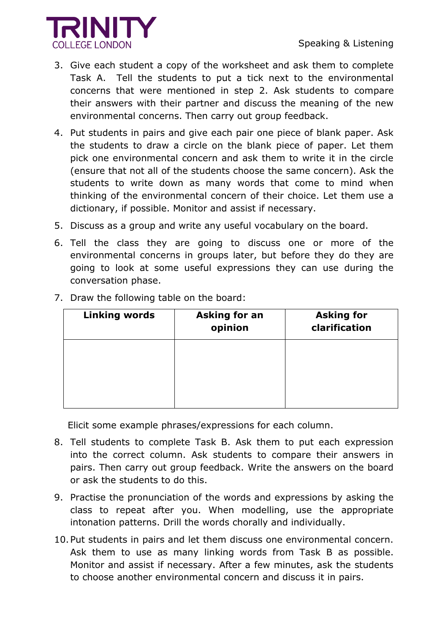

- 3. Give each student a copy of the worksheet and ask them to complete Task A. Tell the students to put a tick next to the environmental concerns that were mentioned in step 2. Ask students to compare their answers with their partner and discuss the meaning of the new environmental concerns. Then carry out group feedback.
- 4. Put students in pairs and give each pair one piece of blank paper. Ask the students to draw a circle on the blank piece of paper. Let them pick one environmental concern and ask them to write it in the circle (ensure that not all of the students choose the same concern). Ask the students to write down as many words that come to mind when thinking of the environmental concern of their choice. Let them use a dictionary, if possible. Monitor and assist if necessary.
- 5. Discuss as a group and write any useful vocabulary on the board.
- 6. Tell the class they are going to discuss one or more of the environmental concerns in groups later, but before they do they are going to look at some useful expressions they can use during the conversation phase.

| <b>Linking words</b> | <b>Asking for an</b><br>opinion | <b>Asking for</b><br>clarification |
|----------------------|---------------------------------|------------------------------------|
|                      |                                 |                                    |
|                      |                                 |                                    |
|                      |                                 |                                    |

7. Draw the following table on the board:

Elicit some example phrases/expressions for each column.

- 8. Tell students to complete Task B. Ask them to put each expression into the correct column. Ask students to compare their answers in pairs. Then carry out group feedback. Write the answers on the board or ask the students to do this.
- 9. Practise the pronunciation of the words and expressions by asking the class to repeat after you. When modelling, use the appropriate intonation patterns. Drill the words chorally and individually.
- 10.Put students in pairs and let them discuss one environmental concern. Ask them to use as many linking words from Task B as possible. Monitor and assist if necessary. After a few minutes, ask the students to choose another environmental concern and discuss it in pairs.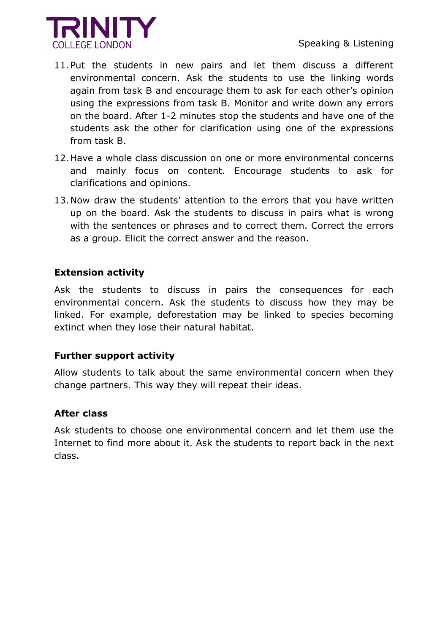

- 11.Put the students in new pairs and let them discuss a different environmental concern. Ask the students to use the linking words again from task B and encourage them to ask for each other's opinion using the expressions from task B. Monitor and write down any errors on the board. After 1-2 minutes stop the students and have one of the students ask the other for clarification using one of the expressions from task B.
- 12.Have a whole class discussion on one or more environmental concerns and mainly focus on content. Encourage students to ask for clarifications and opinions.
- 13.Now draw the students' attention to the errors that you have written up on the board. Ask the students to discuss in pairs what is wrong with the sentences or phrases and to correct them. Correct the errors as a group. Elicit the correct answer and the reason.

#### **Extension activity**

Ask the students to discuss in pairs the consequences for each environmental concern. Ask the students to discuss how they may be linked. For example, deforestation may be linked to species becoming extinct when they lose their natural habitat.

#### **Further support activity**

Allow students to talk about the same environmental concern when they change partners. This way they will repeat their ideas.

#### **After class**

Ask students to choose one environmental concern and let them use the Internet to find more about it. Ask the students to report back in the next class.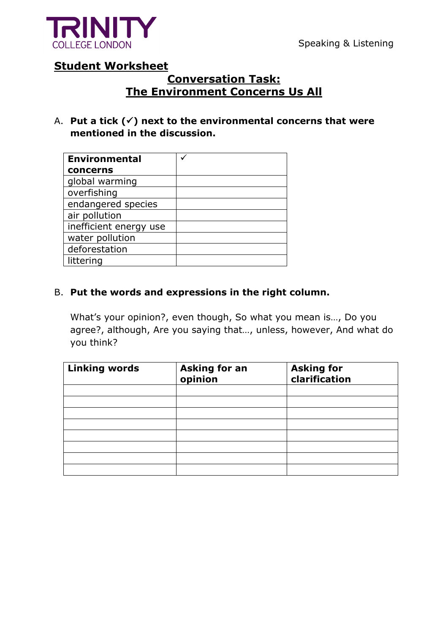

### **Student Worksheet**

## **Conversation Task: The Environment Concerns Us All**

A. **Put a tick () next to the environmental concerns that were mentioned in the discussion.** 

| <b>Environmental</b>   |  |
|------------------------|--|
| concerns               |  |
| global warming         |  |
| overfishing            |  |
| endangered species     |  |
| air pollution          |  |
| inefficient energy use |  |
| water pollution        |  |
| deforestation          |  |
| littering              |  |

### B. **Put the words and expressions in the right column.**

What's your opinion?, even though, So what you mean is…, Do you agree?, although, Are you saying that…, unless, however, And what do you think?

| <b>Linking words</b> | <b>Asking for an</b><br>opinion | <b>Asking for<br/>clarification</b> |
|----------------------|---------------------------------|-------------------------------------|
|                      |                                 |                                     |
|                      |                                 |                                     |
|                      |                                 |                                     |
|                      |                                 |                                     |
|                      |                                 |                                     |
|                      |                                 |                                     |
|                      |                                 |                                     |
|                      |                                 |                                     |